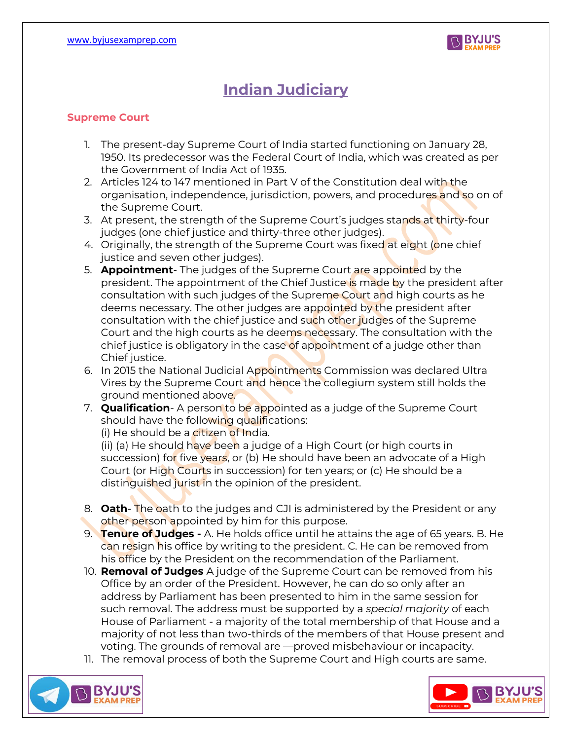

## **Indian Judiciary**

## **Supreme Court**

- 1. The present-day Supreme Court of India started functioning on January 28, 1950. Its predecessor was the Federal Court of India, which was created as per the Government of India Act of 1935.
- 2. Articles 124 to 147 mentioned in Part V of the Constitution deal with the organisation, independence, jurisdiction, powers, and procedures and so on of the Supreme Court.
- 3. At present, the strength of the Supreme Court's judges stands at thirty-four judges (one chief justice and thirty-three other judges).
- 4. Originally, the strength of the Supreme Court was fixed at eight (one chief justice and seven other judges).
- 5. **Appointment** The judges of the Supreme Court are appointed by the president. The appointment of the Chief Justice is made by the president after consultation with such judges of the Supreme Court and high courts as he deems necessary. The other judges are appointed by the president after consultation with the chief justice and such other judges of the Supreme Court and the high courts as he deems necessary. The consultation with the chief justice is obligatory in the case of appointment of a judge other than Chief justice.
- 6. In 2015 the National Judicial Appointments Commission was declared Ultra Vires by the Supreme Court and hence the collegium system still holds the ground mentioned above.
- 7. **Qualification** A person to be appointed as a judge of the Supreme Court should have the following qualifications:

(i) He should be a citizen of India.

(ii) (a) He should have been a judge of a High Court (or high courts in succession) fo<mark>r</mark> five years, or (b) He should have been an advocate of a High Court (or High Courts in succession) for ten years; or (c) He should be a distinguished jurist in the opinion of the president.

- 8. **Oath** The oath to the judges and CJI is administered by the President or any other person appointed by him for this purpose.
- 9. **Tenure of Judges -** A. He holds office until he attains the age of 65 years. B. He can resign his office by writing to the president. C. He can be removed from his office by the President on the recommendation of the Parliament.
- 10. **Removal of Judges** A judge of the Supreme Court can be removed from his Office by an order of the President. However, he can do so only after an address by Parliament has been presented to him in the same session for such removal. The address must be supported by a *special majority* of each House of Parliament - a majority of the total membership of that House and a majority of not less than two-thirds of the members of that House present and voting. The grounds of removal are —proved misbehaviour or incapacity.
- 11. The removal process of both the Supreme Court and High courts are same.



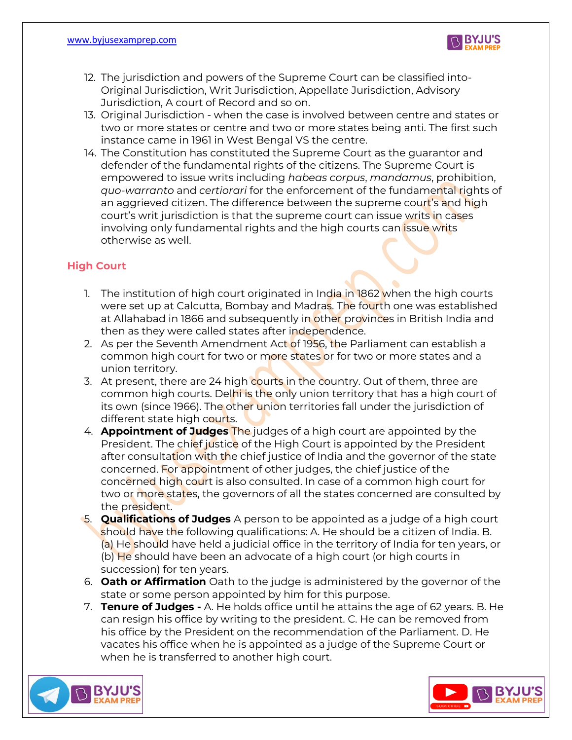

- 12. The jurisdiction and powers of the Supreme Court can be classified into-Original Jurisdiction, Writ Jurisdiction, Appellate Jurisdiction, Advisory Jurisdiction, A court of Record and so on.
- 13. Original Jurisdiction when the case is involved between centre and states or two or more states or centre and two or more states being anti. The first such instance came in 1961 in West Bengal VS the centre.
- 14. The Constitution has constituted the Supreme Court as the guarantor and defender of the fundamental rights of the citizens. The Supreme Court is empowered to issue writs including *habeas corpus*, *mandamus*, prohibition, *quo-warranto* and *certiorari* for the enforcement of the fundamental rights of an aggrieved citizen. The difference between the supreme court's and high court's writ jurisdiction is that the supreme court can issue writs in cases involving only fundamental rights and the high courts can *issue writs* otherwise as well.

## **High Court**

- 1. The institution of high court originated in India in 1862 when the high courts were set up at Calcutta, Bombay and Madras. The fourth one was established at Allahabad in 1866 and subsequently in other provinces in British India and then as they were called states after independence.
- 2. As per the Seventh Amendment Act of 1956, the Parliament can establish a common high court for two or more states or for two or more states and a union territory.
- 3. At present, there are 24 high courts in the country. Out of them, three are common high courts. Delhi is the only union territory that has a high court of its own (since 1966). The other union territories fall under the jurisdiction of different state high courts.
- 4. **Appointment of Judges** The judges of a high court are appointed by the President. The chief justice of the High Court is appointed by the President after consultation with the chief justice of India and the governor of the state concerned. For appointment of other judges, the chief justice of the concerned high court is also consulted. In case of a common high court for two or more states, the governors of all the states concerned are consulted by the president.
- 5. **Qualifications of Judges** A person to be appointed as a judge of a high court should have the following qualifications: A. He should be a citizen of India. B. (a) He should have held a judicial office in the territory of India for ten years, or (b) He should have been an advocate of a high court (or high courts in succession) for ten years.
- 6. **Oath or Affirmation** Oath to the judge is administered by the governor of the state or some person appointed by him for this purpose.
- 7. **Tenure of Judges -** A. He holds office until he attains the age of 62 years. B. He can resign his office by writing to the president. C. He can be removed from his office by the President on the recommendation of the Parliament. D. He vacates his office when he is appointed as a judge of the Supreme Court or when he is transferred to another high court.